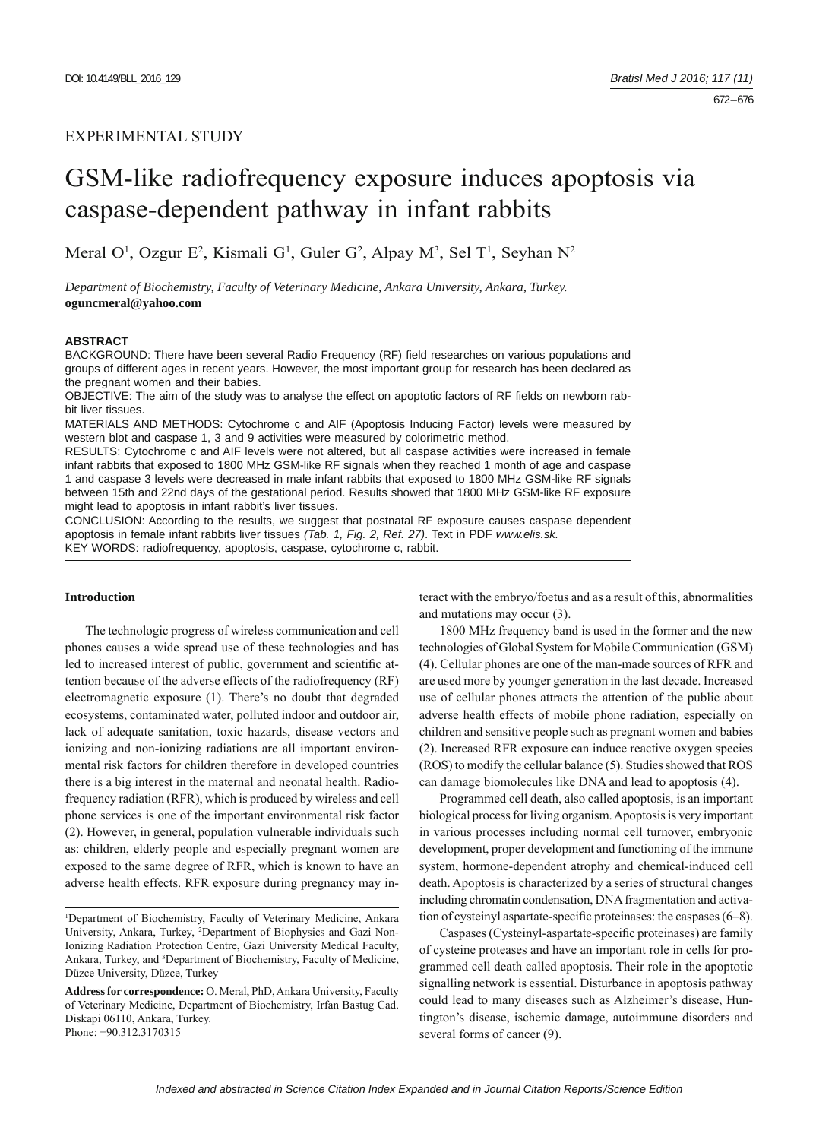# GSM-like radiofrequency exposure induces apoptosis via caspase-dependent pathway in infant rabbits

Meral O<sup>1</sup>, Ozgur E<sup>2</sup>, Kismali G<sup>1</sup>, Guler G<sup>2</sup>, Alpay M<sup>3</sup>, Sel T<sup>1</sup>, Seyhan N<sup>2</sup>

*Department of Biochemistry, Faculty of Veterinary Medicine, Ankara University, Ankara, Turkey.*  **oguncmeral@yahoo.com**

#### **ABSTRACT**

BACKGROUND: There have been several Radio Frequency (RF) field researches on various populations and groups of different ages in recent years. However, the most important group for research has been declared as the pregnant women and their babies.

OBJECTIVE: The aim of the study was to analyse the effect on apoptotic factors of RF fields on newborn rabbit liver tissues.

MATERIALS AND METHODS: Cytochrome c and AIF (Apoptosis Inducing Factor) levels were measured by western blot and caspase 1, 3 and 9 activities were measured by colorimetric method.

RESULTS: Cytochrome c and AIF levels were not altered, but all caspase activities were increased in female infant rabbits that exposed to 1800 MHz GSM-like RF signals when they reached 1 month of age and caspase 1 and caspase 3 levels were decreased in male infant rabbits that exposed to 1800 MHz GSM-like RF signals between 15th and 22nd days of the gestational period. Results showed that 1800 MHz GSM-like RF exposure might lead to apoptosis in infant rabbit's liver tissues.

CONCLUSION: According to the results, we suggest that postnatal RF exposure causes caspase dependent apoptosis in female infant rabbits liver tissues *(Tab. 1, Fig. 2, Ref. 27)*. Text in PDF *www.elis.sk.* KEY WORDS: radiofrequency, apoptosis, caspase, cytochrome c, rabbit.

# **Introduction**

The technologic progress of wireless communication and cell phones causes a wide spread use of these technologies and has led to increased interest of public, government and scientific attention because of the adverse effects of the radiofrequency (RF) electromagnetic exposure (1). There's no doubt that degraded ecosystems, contaminated water, polluted indoor and outdoor air, lack of adequate sanitation, toxic hazards, disease vectors and ionizing and non-ionizing radiations are all important environmental risk factors for children therefore in developed countries there is a big interest in the maternal and neonatal health. Radiofrequency radiation (RFR), which is produced by wireless and cell phone services is one of the important environmental risk factor (2). However, in general, population vulnerable individuals such as: children, elderly people and especially pregnant women are exposed to the same degree of RFR, which is known to have an adverse health effects. RFR exposure during pregnancy may interact with the embryo/foetus and as a result of this, abnormalities and mutations may occur (3).

1800 MHz frequency band is used in the former and the new technologies of Global System for Mobile Communication (GSM) (4). Cellular phones are one of the man-made sources of RFR and are used more by younger generation in the last decade. Increased use of cellular phones attracts the attention of the public about adverse health effects of mobile phone radiation, especially on children and sensitive people such as pregnant women and babies (2). Increased RFR exposure can induce reactive oxygen species (ROS) to modify the cellular balance (5). Studies showed that ROS can damage biomolecules like DNA and lead to apoptosis (4).

Programmed cell death, also called apoptosis, is an important biological process for living organism. Apoptosis is very important in various processes including normal cell turnover, embryonic development, proper development and functioning of the immune system, hormone-dependent atrophy and chemical-induced cell death. Apoptosis is characterized by a series of structural changes including chromatin condensation, DNA fragmentation and activation of cysteinyl aspartate-specific proteinases: the caspases  $(6-8)$ .

Caspases (Cysteinyl-aspartate-specific proteinases) are family of cysteine proteases and have an important role in cells for programmed cell death called apoptosis. Their role in the apoptotic signalling network is essential. Disturbance in apoptosis pathway could lead to many diseases such as Alzheimer's disease, Huntington's disease, ischemic damage, autoimmune disorders and several forms of cancer (9).

<sup>1</sup> Department of Biochemistry, Faculty of Veterinary Medicine, Ankara University, Ankara, Turkey, 2 Department of Biophysics and Gazi Non-Ionizing Radiation Protection Centre, Gazi University Medical Faculty, Ankara, Turkey, and 3 Department of Biochemistry, Faculty of Medicine, Düzce University, Düzce, Turkey

**Address for correspondence:** O. Meral, PhD, Ankara University, Faculty of Veterinary Medicine, Department of Biochemistry, Irfan Bastug Cad. Diskapi 06110, Ankara, Turkey. Phone: +90.312.3170315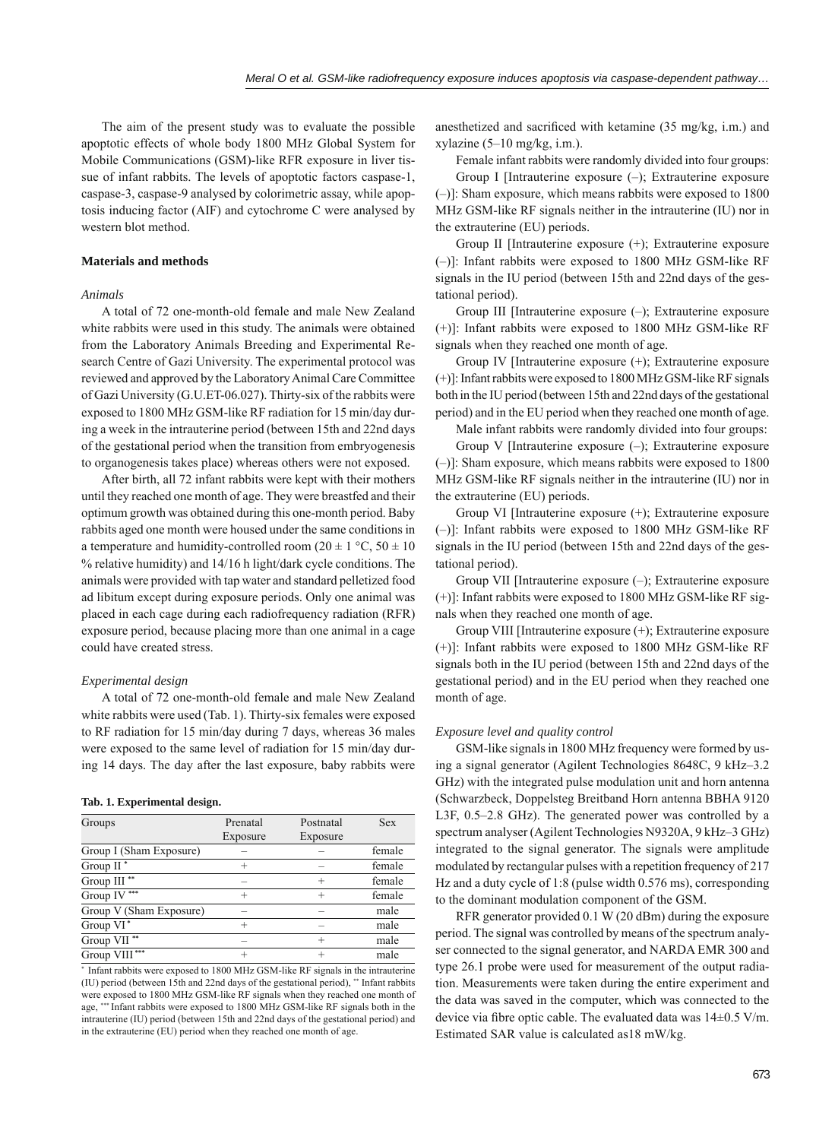The aim of the present study was to evaluate the possible apoptotic effects of whole body 1800 MHz Global System for Mobile Communications (GSM)-like RFR exposure in liver tissue of infant rabbits. The levels of apoptotic factors caspase-1, caspase-3, caspase-9 analysed by colorimetric assay, while apoptosis inducing factor (AIF) and cytochrome C were analysed by western blot method.

# **Materials and methods**

#### *Animals*

A total of 72 one-month-old female and male New Zealand white rabbits were used in this study. The animals were obtained from the Laboratory Animals Breeding and Experimental Research Centre of Gazi University. The experimental protocol was reviewed and approved by the Laboratory Animal Care Committee of Gazi University (G.U.ET-06.027). Thirty-six of the rabbits were exposed to 1800 MHz GSM-like RF radiation for 15 min/day during a week in the intrauterine period (between 15th and 22nd days of the gestational period when the transition from embryogenesis to organogenesis takes place) whereas others were not exposed.

After birth, all 72 infant rabbits were kept with their mothers until they reached one month of age. They were breastfed and their optimum growth was obtained during this one-month period. Baby rabbits aged one month were housed under the same conditions in a temperature and humidity-controlled room (20  $\pm$  1 °C, 50  $\pm$  10 % relative humidity) and 14/16 h light/dark cycle conditions. The animals were provided with tap water and standard pelletized food ad libitum except during exposure periods. Only one animal was placed in each cage during each radiofrequency radiation (RFR) exposure period, because placing more than one animal in a cage could have created stress.

#### *Experimental design*

A total of 72 one-month-old female and male New Zealand white rabbits were used (Tab. 1). Thirty-six females were exposed to RF radiation for 15 min/day during 7 days, whereas 36 males were exposed to the same level of radiation for 15 min/day during 14 days. The day after the last exposure, baby rabbits were

## **Tab. 1. Experimental design.**

| Groups                    | Prenatal | Postnatal | <b>Sex</b> |
|---------------------------|----------|-----------|------------|
|                           | Exposure | Exposure  |            |
| Group I (Sham Exposure)   |          |           | female     |
| Group $II^*$              | $^{+}$   |           | female     |
| Group III <sup>**</sup>   |          | $^{+}$    | female     |
| 幸幸幸<br>Group IV           | $^{+}$   | $^{+}$    | female     |
| Group V (Sham Exposure)   |          |           | male       |
| Group VI <sup>*</sup>     | $^+$     |           | male       |
| Group VII <sup>**</sup>   |          | $^{+}$    | male       |
| Group VIII <sup>***</sup> |          | $^{+}$    | male       |

\* Infant rabbits were exposed to 1800 MHz GSM-like RF signals in the intrauterine (IU) period (between 15th and 22nd days of the gestational period), \*\* Infant rabbits were exposed to 1800 MHz GSM-like RF signals when they reached one month of age, \*\*\* Infant rabbits were exposed to 1800 MHz GSM-like RF signals both in the intrauterine (IU) period (between 15th and 22nd days of the gestational period) and in the extrauterine (EU) period when they reached one month of age.

anesthetized and sacrificed with ketamine (35 mg/kg, i.m.) and xylazine (5–10 mg/kg, i.m.).

Female infant rabbits were randomly divided into four groups: Group I [Intrauterine exposure (–); Extrauterine exposure (–)]: Sham exposure, which means rabbits were exposed to 1800 MHz GSM-like RF signals neither in the intrauterine (IU) nor in the extrauterine (EU) periods.

Group II [Intrauterine exposure (+); Extrauterine exposure (–)]: Infant rabbits were exposed to 1800 MHz GSM-like RF signals in the IU period (between 15th and 22nd days of the gestational period).

Group III [Intrauterine exposure (–); Extrauterine exposure (+)]: Infant rabbits were exposed to 1800 MHz GSM-like RF signals when they reached one month of age.

Group IV [Intrauterine exposure (+); Extrauterine exposure (+)]: Infant rabbits were exposed to 1800 MHz GSM-like RF signals both in the IU period (between 15th and 22nd days of the gestational period) and in the EU period when they reached one month of age.

Male infant rabbits were randomly divided into four groups:

Group V [Intrauterine exposure (–); Extrauterine exposure (–)]: Sham exposure, which means rabbits were exposed to 1800 MHz GSM-like RF signals neither in the intrauterine (IU) nor in the extrauterine (EU) periods.

Group VI [Intrauterine exposure (+); Extrauterine exposure (–)]: Infant rabbits were exposed to 1800 MHz GSM-like RF signals in the IU period (between 15th and 22nd days of the gestational period).

Group VII [Intrauterine exposure (–); Extrauterine exposure (+)]: Infant rabbits were exposed to 1800 MHz GSM-like RF signals when they reached one month of age.

Group VIII [Intrauterine exposure (+); Extrauterine exposure (+)]: Infant rabbits were exposed to 1800 MHz GSM-like RF signals both in the IU period (between 15th and 22nd days of the gestational period) and in the EU period when they reached one month of age.

#### *Exposure level and quality control*

GSM-like signals in 1800 MHz frequency were formed by using a signal generator (Agilent Technologies 8648C, 9 kHz–3.2 GHz) with the integrated pulse modulation unit and horn antenna (Schwarzbeck, Doppelsteg Breitband Horn antenna BBHA 9120 L3F, 0.5–2.8 GHz). The generated power was controlled by a spectrum analyser (Agilent Technologies N9320A, 9 kHz–3 GHz) integrated to the signal generator. The signals were amplitude modulated by rectangular pulses with a repetition frequency of 217 Hz and a duty cycle of 1:8 (pulse width 0.576 ms), corresponding to the dominant modulation component of the GSM.

RFR generator provided 0.1 W (20 dBm) during the exposure period. The signal was controlled by means of the spectrum analyser connected to the signal generator, and NARDA EMR 300 and type 26.1 probe were used for measurement of the output radiation. Measurements were taken during the entire experiment and the data was saved in the computer, which was connected to the device via fibre optic cable. The evaluated data was  $14\pm0.5$  V/m. Estimated SAR value is calculated as18 mW/kg.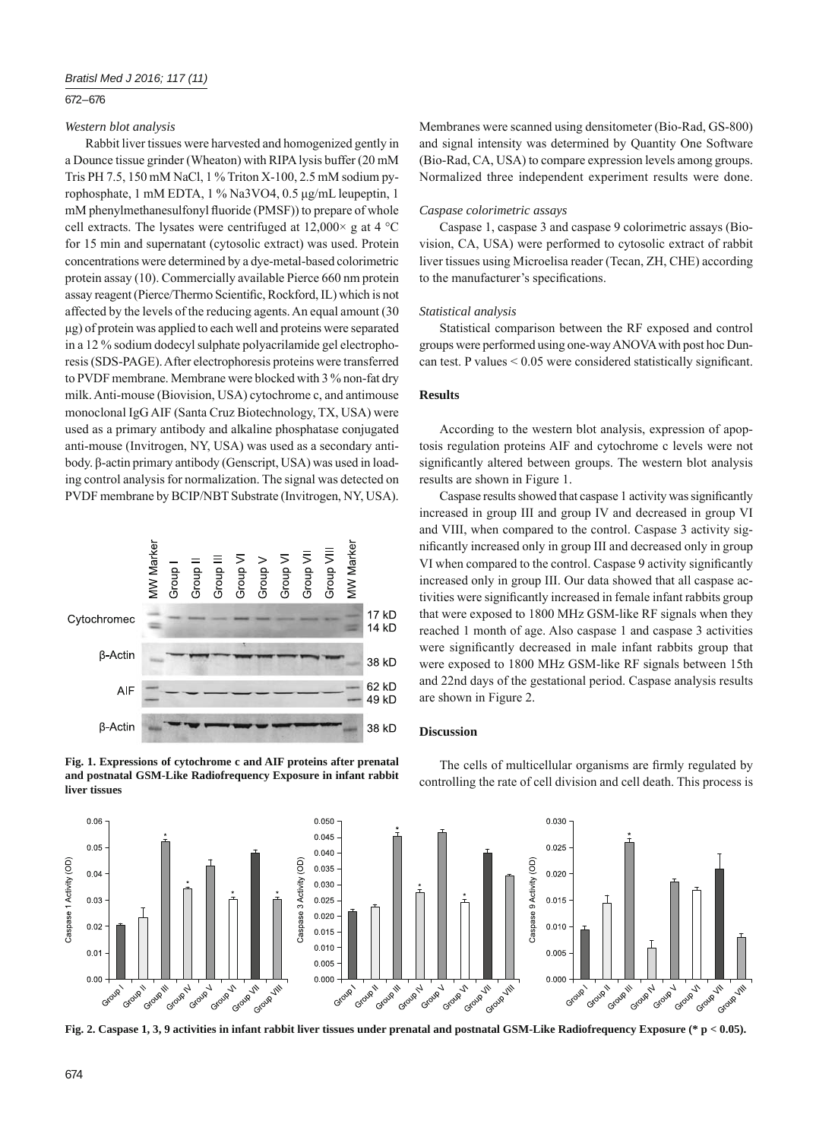## 672 – 676

# *Western blot analysis*

Rabbit liver tissues were harvested and homogenized gently in a Dounce tissue grinder (Wheaton) with RIPA lysis buffer (20 mM Tris PH 7.5, 150 mM NaCl, 1 % Triton X-100, 2.5 mM sodium pyrophosphate, 1 mM EDTA, 1 % Na3VO4, 0.5 μg/mL leupeptin, 1 mM phenylmethanesulfonyl fluoride (PMSF)) to prepare of whole cell extracts. The lysates were centrifuged at  $12,000 \times g$  at  $4 \text{ }^{\circ}$ C for 15 min and supernatant (cytosolic extract) was used. Protein concentrations were determined by a dye-metal-based colorimetric protein assay (10). Commercially available Pierce 660 nm protein assay reagent (Pierce/Thermo Scientific, Rockford, IL) which is not affected by the levels of the reducing agents. An equal amount (30 μg) of protein was applied to each well and proteins were separated in a 12 % sodium dodecyl sulphate polyacrilamide gel electrophoresis (SDS-PAGE). After electrophoresis proteins were transferred to PVDF membrane. Membrane were blocked with 3 % non-fat dry milk. Anti-mouse (Biovision, USA) cytochrome c, and antimouse monoclonal IgG AIF (Santa Cruz Biotechnology, TX, USA) were used as a primary antibody and alkaline phosphatase conjugated anti-mouse (Invitrogen, NY, USA) was used as a secondary antibody. β-actin primary antibody (Genscript, USA) was used in loading control analysis for normalization. The signal was detected on PVDF membrane by BCIP/NBT Substrate (Invitrogen, NY, USA).



**Fig. 1. Expressions of cytochrome c and AIF proteins after prenatal and postnatal GSM-Like Radiofrequency Exposure in infant rabbit liver tissues**

Membranes were scanned using densitometer (Bio-Rad, GS-800) and signal intensity was determined by Quantity One Software (Bio-Rad, CA, USA) to compare expression levels among groups. Normalized three independent experiment results were done.

#### *Caspase colorimetric assays*

Caspase 1, caspase 3 and caspase 9 colorimetric assays (Biovision, CA, USA) were performed to cytosolic extract of rabbit liver tissues using Microelisa reader (Tecan, ZH, CHE) according to the manufacturer's specifications.

#### *Statistical analysis*

Statistical comparison between the RF exposed and control groups were performed using one-way ANOVA with post hoc Duncan test. P values  $\leq 0.05$  were considered statistically significant.

# **Results**

According to the western blot analysis, expression of apoptosis regulation proteins AIF and cytochrome c levels were not significantly altered between groups. The western blot analysis results are shown in Figure 1.

Caspase results showed that caspase 1 activity was significantly increased in group III and group IV and decreased in group VI and VIII, when compared to the control. Caspase 3 activity significantly increased only in group III and decreased only in group VI when compared to the control. Caspase 9 activity significantly increased only in group III. Our data showed that all caspase activities were significantly increased in female infant rabbits group that were exposed to 1800 MHz GSM-like RF signals when they reached 1 month of age. Also caspase 1 and caspase 3 activities were significantly decreased in male infant rabbits group that were exposed to 1800 MHz GSM-like RF signals between 15th and 22nd days of the gestational period. Caspase analysis results are shown in Figure 2.

# **Discussion**



The cells of multicellular organisms are firmly regulated by controlling the rate of cell division and cell death. This process is

**Fig. 2. Caspase 1, 3, 9 activities in infant rabbit liver tissues under prenatal and postnatal GSM-Like Radiofrequency Exposure (\* p < 0.05).**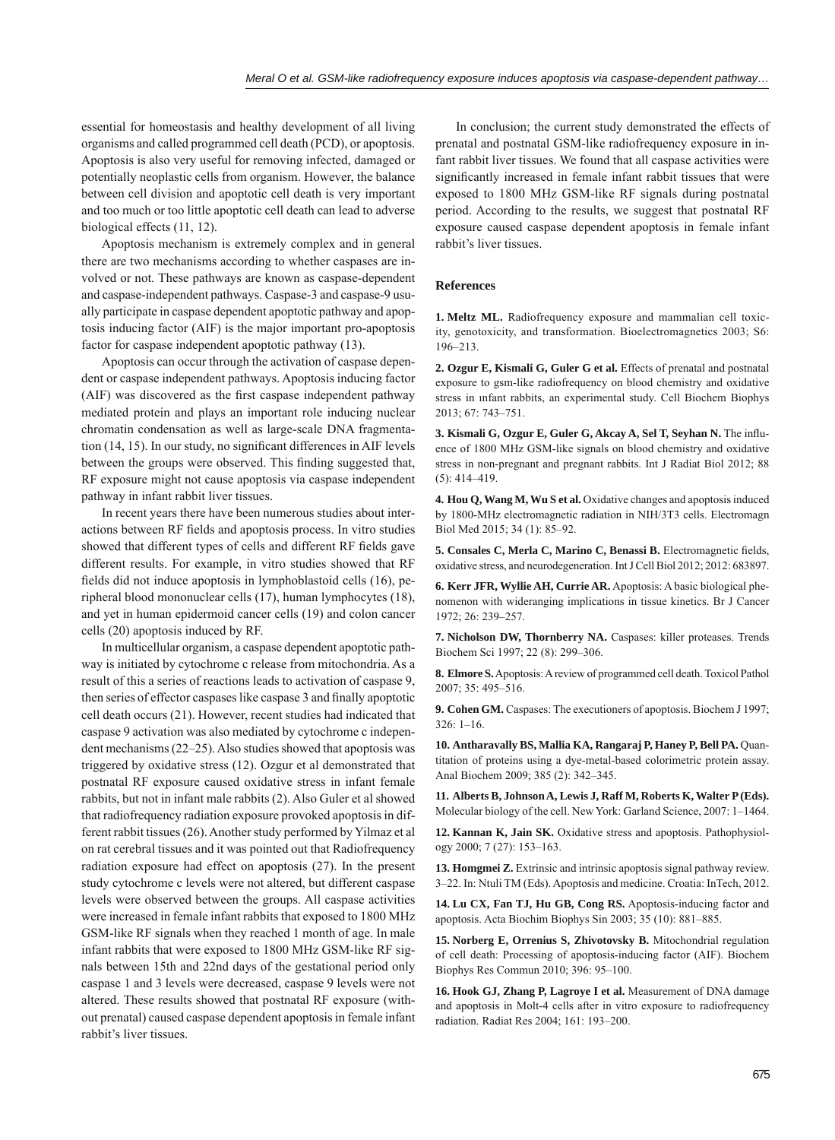essential for homeostasis and healthy development of all living organisms and called programmed cell death (PCD), or apoptosis. Apoptosis is also very useful for removing infected, damaged or potentially neoplastic cells from organism. However, the balance between cell division and apoptotic cell death is very important and too much or too little apoptotic cell death can lead to adverse biological effects (11, 12).

Apoptosis mechanism is extremely complex and in general there are two mechanisms according to whether caspases are involved or not. These pathways are known as caspase-dependent and caspase-independent pathways. Caspase-3 and caspase-9 usually participate in caspase dependent apoptotic pathway and apoptosis inducing factor (AIF) is the major important pro-apoptosis factor for caspase independent apoptotic pathway (13).

Apoptosis can occur through the activation of caspase dependent or caspase independent pathways. Apoptosis inducing factor (AIF) was discovered as the first caspase independent pathway mediated protein and plays an important role inducing nuclear chromatin condensation as well as large-scale DNA fragmentation (14, 15). In our study, no significant differences in AIF levels between the groups were observed. This finding suggested that, RF exposure might not cause apoptosis via caspase independent pathway in infant rabbit liver tissues.

In recent years there have been numerous studies about interactions between RF fields and apoptosis process. In vitro studies showed that different types of cells and different RF fields gave different results. For example, in vitro studies showed that RF fields did not induce apoptosis in lymphoblastoid cells (16), peripheral blood mononuclear cells (17), human lymphocytes (18), and yet in human epidermoid cancer cells (19) and colon cancer cells (20) apoptosis induced by RF.

In multicellular organism, a caspase dependent apoptotic pathway is initiated by cytochrome c release from mitochondria. As a result of this a series of reactions leads to activation of caspase 9, then series of effector caspases like caspase 3 and finally apoptotic cell death occurs (21). However, recent studies had indicated that caspase 9 activation was also mediated by cytochrome c independent mechanisms (22–25). Also studies showed that apoptosis was triggered by oxidative stress (12). Ozgur et al demonstrated that postnatal RF exposure caused oxidative stress in infant female rabbits, but not in infant male rabbits (2). Also Guler et al showed that radiofrequency radiation exposure provoked apoptosis in different rabbit tissues (26). Another study performed by Yilmaz et al on rat cerebral tissues and it was pointed out that Radiofrequency radiation exposure had effect on apoptosis (27). In the present study cytochrome c levels were not altered, but different caspase levels were observed between the groups. All caspase activities were increased in female infant rabbits that exposed to 1800 MHz GSM-like RF signals when they reached 1 month of age. In male infant rabbits that were exposed to 1800 MHz GSM-like RF signals between 15th and 22nd days of the gestational period only caspase 1 and 3 levels were decreased, caspase 9 levels were not altered. These results showed that postnatal RF exposure (without prenatal) caused caspase dependent apoptosis in female infant rabbit's liver tissues.

In conclusion; the current study demonstrated the effects of prenatal and postnatal GSM-like radiofrequency exposure in infant rabbit liver tissues. We found that all caspase activities were significantly increased in female infant rabbit tissues that were exposed to 1800 MHz GSM-like RF signals during postnatal period. According to the results, we suggest that postnatal RF exposure caused caspase dependent apoptosis in female infant rabbit's liver tissues.

#### **References**

**1. Meltz ML.** Radiofrequency exposure and mammalian cell toxicity, genotoxicity, and transformation. Bioelectromagnetics 2003; S6: 196–213.

**2. Ozgur E, Kismali G, Guler G et al.** Effects of prenatal and postnatal exposure to gsm-like radiofrequency on blood chemistry and oxidative stress in ınfant rabbits, an experimental study. Cell Biochem Biophys 2013; 67: 743–751.

**3. Kismali G, Ozgur E, Guler G, Akcay A, Sel T, Seyhan N.** The influence of 1800 MHz GSM-like signals on blood chemistry and oxidative stress in non-pregnant and pregnant rabbits. Int J Radiat Biol 2012; 88 (5): 414–419.

**4. Hou Q, Wang M, Wu S et al.** Oxidative changes and apoptosis induced by 1800-MHz electromagnetic radiation in NIH/3T3 cells. Electromagn Biol Med 2015; 34 (1): 85–92.

5. Consales C, Merla C, Marino C, Benassi B. Electromagnetic fields, oxidative stress, and neurodegeneration. Int J Cell Biol 2012; 2012: 683897.

**6. Kerr JFR, Wyllie AH, Currie AR.** Apoptosis: A basic biological phenomenon with wideranging implications in tissue kinetics. Br J Cancer 1972; 26: 239–257.

**7. Nicholson DW, Thornberry NA.** Caspases: killer proteases. Trends Biochem Sci 1997; 22 (8): 299–306.

**8. Elmore S.** Apoptosis: A review of programmed cell death. Toxicol Pathol 2007; 35: 495–516.

**9. Cohen GM.** Caspases: The executioners of apoptosis. Biochem J 1997; 326: 1–16.

**10. Antharavally BS, Mallia KA, Rangaraj P, Haney P, Bell PA.** Quantitation of proteins using a dye-metal-based colorimetric protein assay. Anal Biochem 2009; 385 (2): 342–345.

**11. Alberts B, Johnson A, Lewis J, Raff M, Roberts K, Walter P (Eds).** Molecular biology of the cell. New York: Garland Science, 2007: 1–1464.

**12. Kannan K, Jain SK.** Oxidative stress and apoptosis. Pathophysiology 2000; 7 (27): 153–163.

**13. Homgmei Z.** Extrinsic and intrinsic apoptosis signal pathway review. 3–22. In: Ntuli TM (Eds). Apoptosis and medicine. Croatia: InTech, 2012.

**14. Lu CX, Fan TJ, Hu GB, Cong RS.** Apoptosis-inducing factor and apoptosis. Acta Biochim Biophys Sin 2003; 35 (10): 881–885.

**15. Norberg E, Orrenius S, Zhivotovsky B.** Mitochondrial regulation of cell death: Processing of apoptosis-inducing factor (AIF). Biochem Biophys Res Commun 2010; 396: 95–100.

**16. Hook GJ, Zhang P, Lagroye I et al.** Measurement of DNA damage and apoptosis in Molt-4 cells after in vitro exposure to radiofrequency radiation. Radiat Res 2004; 161: 193–200.